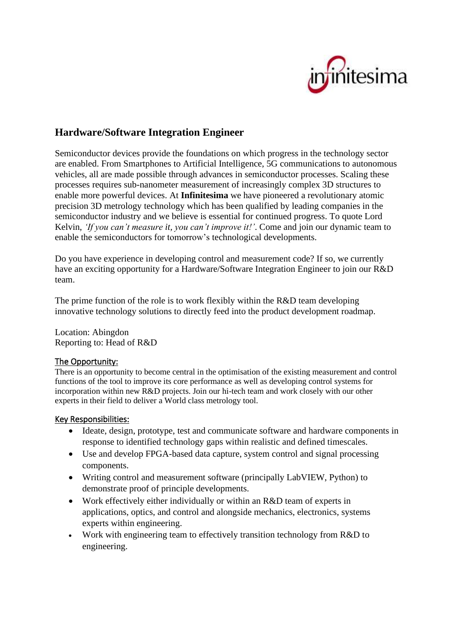# iitesima

## **Hardware/Software Integration Engineer**

Semiconductor devices provide the foundations on which progress in the technology sector are enabled. From Smartphones to Artificial Intelligence, 5G communications to autonomous vehicles, all are made possible through advances in semiconductor processes. Scaling these processes requires sub-nanometer measurement of increasingly complex 3D structures to enable more powerful devices. At **Infinitesima** we have pioneered a revolutionary atomic precision 3D metrology technology which has been qualified by leading companies in the semiconductor industry and we believe is essential for continued progress. To quote Lord Kelvin, *'If you can't measure it, you can't improve it!'*. Come and join our dynamic team to enable the semiconductors for tomorrow's technological developments.

Do you have experience in developing control and measurement code? If so, we currently have an exciting opportunity for a Hardware/Software Integration Engineer to join our R&D team.

The prime function of the role is to work flexibly within the R&D team developing innovative technology solutions to directly feed into the product development roadmap.

Location: Abingdon Reporting to: Head of R&D

#### The Opportunity:

There is an opportunity to become central in the optimisation of the existing measurement and control functions of the tool to improve its core performance as well as developing control systems for incorporation within new R&D projects. Join our hi-tech team and work closely with our other experts in their field to deliver a World class metrology tool.

#### Key Responsibilities:

- Ideate, design, prototype, test and communicate software and hardware components in response to identified technology gaps within realistic and defined timescales.
- Use and develop FPGA-based data capture, system control and signal processing components.
- Writing control and measurement software (principally LabVIEW, Python) to demonstrate proof of principle developments.
- Work effectively either individually or within an R&D team of experts in applications, optics, and control and alongside mechanics, electronics, systems experts within engineering.
- Work with engineering team to effectively transition technology from R&D to engineering.